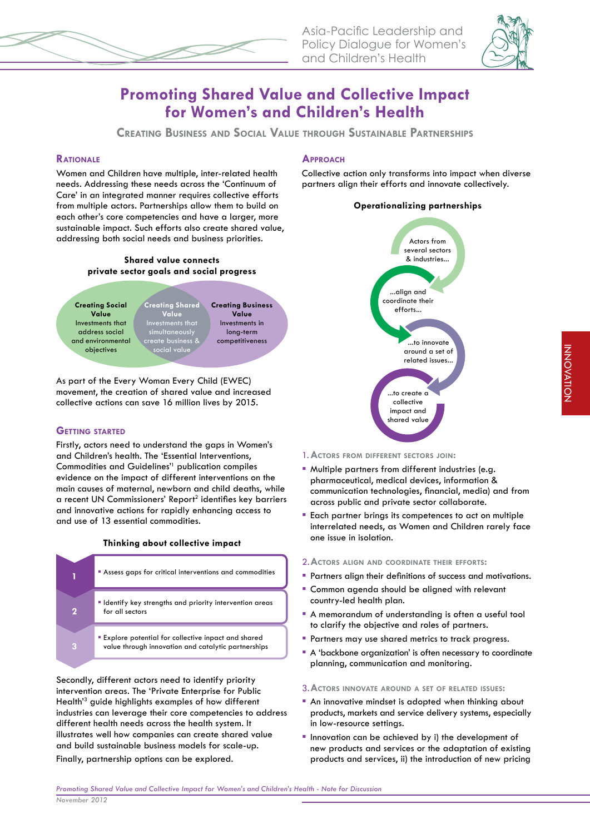



# **Promoting Shared Value and Collective Impact for Women's and Children's Health**

**CREATING BUSINESS AND SOCIAL VALUE THROUGH SUSTAINABLE PARTNERSHIPS**

# **RATIONALE**

Women and Children have multiple, inter-related health needs. Addressing these needs across the 'Continuum of Care' in an integrated manner requires collective efforts from multiple actors. Partnerships allow them to build on each other's core competencies and have a larger, more sustainable impact. Such efforts also create shared value, addressing both social needs and business priorities.





As part of the Every Woman Every Child (EWEC) movement, the creation of shared value and increased collective actions can save 16 million lives by 2015.

## **GETTING STARTED**

Firstly, actors need to understand the gaps in Women's and Children's health. The 'Essential Interventions, Commodities and Guidelines'<sup>1</sup> publication compiles evidence on the impact of different interventions on the main causes of maternal, newborn and child deaths, while a recent UN Commissioners' Report<sup>2</sup> identifies key barriers and innovative actions for rapidly enhancing access to and use of 13 essential commodities.

## **Thinking about collective impact**

| Assess gaps for critical interventions and commodities                                                           |
|------------------------------------------------------------------------------------------------------------------|
| "I dentify key strengths and priority intervention areas<br>for all sectors                                      |
| <b>Explore potential for collective inpact and shared</b><br>value through innovation and catalytic partnerships |

Secondly, different actors need to identify priority intervention areas. The 'Private Enterprise for Public Health'3 guide highlights examples of how different industries can leverage their core competencies to address different health needs across the health system. It illustrates well how companies can create shared value and build sustainable business models for scale-up. Finally, partnership options can be explored.

# **APPROACH**

Collective action only transforms into impact when diverse partners align their efforts and innovate collectively.

## **Operationalizing partnerships**



## 1. **ACTORS FROM DIFFERENT SECTORS JOIN:**

- Multiple partners from different industries (e.g. pharmaceutical, medical devices, information & communication technologies, financial, media) and from across public and private sector collaborate.
- Each partner brings its competences to act on multiple interrelated needs, as Women and Children rarely face one issue in isolation.

#### 2. **ACTORS ALIGN AND COORDINATE THEIR EFFORTS:**

- **Partners align their definitions of success and motivations.**
- **Common agenda should be aligned with relevant** country-led health plan.
- A memorandum of understanding is often a useful tool to clarify the objective and roles of partners.
- **Partners may use shared metrics to track progress.**
- A 'backbone organization' is often necessary to coordinate planning, communication and monitoring.

#### 3. **ACTORS INNOVATE AROUND <sup>A</sup> SET OF RELATED ISSUES:**

- An innovative mindset is adopted when thinking about products, markets and service delivery systems, especially in low-resource settings.
- **Innovation can be achieved by i) the development of** new products and services or the adaptation of existing products and services, ii) the introduction of new pricing